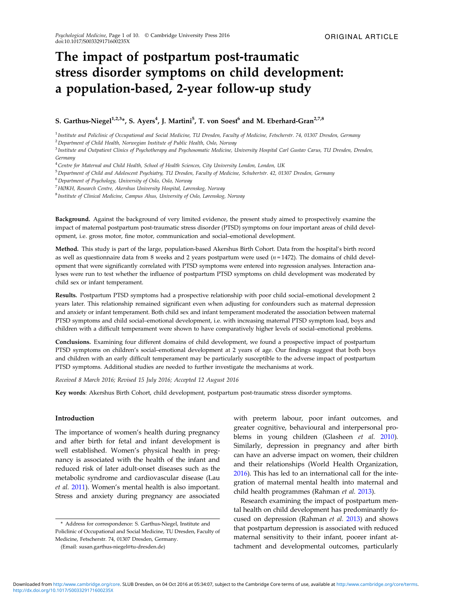# The impact of postpartum post-traumatic stress disorder symptoms on child development: a population-based, 2-year follow-up study

# S. Garthus-Niegel<sup>1,2,3</sup>\*, S. Ayers<sup>4</sup>, J. Martini<sup>5</sup>, T. von Soest<sup>6</sup> and M. Eberhard-Gran<sup>2,7,8</sup>

<sup>1</sup> Institute and Policlinic of Occupational and Social Medicine, TU Dresden, Faculty of Medicine, Fetscherstr. 74, 01307 Dresden, Germany

<sup>2</sup> Department of Child Health, Norwegian Institute of Public Health, Oslo, Norway

<sup>3</sup> Institute and Outpatient Clinics of Psychotherapy and Psychosomatic Medicine, University Hospital Carl Gustav Carus, TU Dresden, Dresden, Germany

<sup>4</sup>Centre for Maternal and Child Health, School of Health Sciences, City University London, London, UK

<sup>5</sup>Department of Child and Adolescent Psychiatry, TU Dresden, Faculty of Medicine, Schubertstr. 42, 01307 Dresden, Germany

<sup>6</sup>Department of Psychology, University of Oslo, Oslo, Norway

 $7$ HØKH, Research Centre, Akershus University Hospital, Lørenskog, Norway

<sup>8</sup> Institute of Clinical Medicine, Campus Ahus, University of Oslo, Lørenskog, Norway

Background. Against the background of very limited evidence, the present study aimed to prospectively examine the impact of maternal postpartum post-traumatic stress disorder (PTSD) symptoms on four important areas of child development, i.e. gross motor, fine motor, communication and social–emotional development.

Method. This study is part of the large, population-based Akershus Birth Cohort. Data from the hospital's birth record as well as questionnaire data from 8 weeks and 2 years postpartum were used ( $n = 1472$ ). The domains of child development that were significantly correlated with PTSD symptoms were entered into regression analyses. Interaction analyses were run to test whether the influence of postpartum PTSD symptoms on child development was moderated by child sex or infant temperament.

Results. Postpartum PTSD symptoms had a prospective relationship with poor child social–emotional development 2 years later. This relationship remained significant even when adjusting for confounders such as maternal depression and anxiety or infant temperament. Both child sex and infant temperament moderated the association between maternal PTSD symptoms and child social–emotional development, i.e. with increasing maternal PTSD symptom load, boys and children with a difficult temperament were shown to have comparatively higher levels of social–emotional problems.

Conclusions. Examining four different domains of child development, we found a prospective impact of postpartum PTSD symptoms on children's social–emotional development at 2 years of age. Our findings suggest that both boys and children with an early difficult temperament may be particularly susceptible to the adverse impact of postpartum PTSD symptoms. Additional studies are needed to further investigate the mechanisms at work.

Received 8 March 2016; Revised 15 July 2016; Accepted 12 August 2016

Key words: Akershus Birth Cohort, child development, postpartum post-traumatic stress disorder symptoms.

## Introduction

The importance of women's health during pregnancy and after birth for fetal and infant development is well established. Women's physical health in pregnancy is associated with the health of the infant and reduced risk of later adult-onset diseases such as the metabolic syndrome and cardiovascular disease (Lau et al. [2011\)](#page-9-0). Women's mental health is also important. Stress and anxiety during pregnancy are associated

with preterm labour, poor infant outcomes, and greater cognitive, behavioural and interpersonal problems in young children (Glasheen et al. [2010](#page-9-0)). Similarly, depression in pregnancy and after birth can have an adverse impact on women, their children and their relationships (World Health Organization, [2016\)](#page-9-0). This has led to an international call for the integration of maternal mental health into maternal and child health programmes (Rahman et al. [2013\)](#page-9-0).

Research examining the impact of postpartum mental health on child development has predominantly focused on depression (Rahman et al. [2013\)](#page-9-0) and shows that postpartum depression is associated with reduced maternal sensitivity to their infant, poorer infant attachment and developmental outcomes, particularly

<sup>\*</sup> Address for correspondence: S. Garthus-Niegel, Institute and Policlinic of Occupational and Social Medicine, TU Dresden, Faculty of Medicine, Fetscherstr. 74, 01307 Dresden, Germany.

<sup>(</sup>Email: susan.garthus-niegel@tu-dresden.de)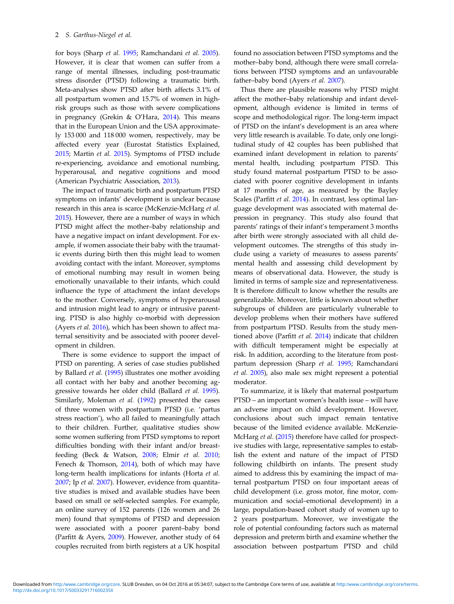for boys (Sharp et al. [1995](#page-9-0); Ramchandani et al. [2005](#page-9-0)). However, it is clear that women can suffer from a range of mental illnesses, including post-traumatic stress disorder (PTSD) following a traumatic birth. Meta-analyses show PTSD after birth affects 3.1% of all postpartum women and 15.7% of women in highrisk groups such as those with severe complications in pregnancy (Grekin & O'Hara, [2014\)](#page-9-0). This means that in the European Union and the USA approximately 153 000 and 118 000 women, respectively, may be affected every year (Eurostat Statistics Explained, [2015;](#page-8-0) Martin et al. [2015](#page-9-0)). Symptoms of PTSD include re-experiencing, avoidance and emotional numbing, hyperarousal, and negative cognitions and mood (American Psychiatric Association, [2013\)](#page-8-0).

The impact of traumatic birth and postpartum PTSD symptoms on infants' development is unclear because research in this area is scarce (McKenzie-McHarg et al. [2015\)](#page-9-0). However, there are a number of ways in which PTSD might affect the mother–baby relationship and have a negative impact on infant development. For example, if women associate their baby with the traumatic events during birth then this might lead to women avoiding contact with the infant. Moreover, symptoms of emotional numbing may result in women being emotionally unavailable to their infants, which could influence the type of attachment the infant develops to the mother. Conversely, symptoms of hyperarousal and intrusion might lead to angry or intrusive parenting. PTSD is also highly co-morbid with depression (Ayers et al. [2016](#page-8-0)), which has been shown to affect maternal sensitivity and be associated with poorer development in children.

There is some evidence to support the impact of PTSD on parenting. A series of case studies published by Ballard et al. [\(1995\)](#page-8-0) illustrates one mother avoiding all contact with her baby and another becoming aggressive towards her older child (Ballard et al. [1995](#page-8-0)). Similarly, Moleman et al. ([1992](#page-9-0)) presented the cases of three women with postpartum PTSD (i.e. 'partus stress reaction'), who all failed to meaningfully attach to their children. Further, qualitative studies show some women suffering from PTSD symptoms to report difficulties bonding with their infant and/or breastfeeding (Beck & Watson, [2008](#page-8-0); Elmir et al. [2010](#page-8-0); Fenech & Thomson, [2014\)](#page-8-0), both of which may have long-term health implications for infants (Horta et al. [2007;](#page-9-0) Ip et al. [2007\)](#page-9-0). However, evidence from quantitative studies is mixed and available studies have been based on small or self-selected samples. For example, an online survey of 152 parents (126 women and 26 men) found that symptoms of PTSD and depression were associated with a poorer parent–baby bond (Parfitt & Ayers, [2009\)](#page-9-0). However, another study of 64 couples recruited from birth registers at a UK hospital found no association between PTSD symptoms and the mother–baby bond, although there were small correlations between PTSD symptoms and an unfavourable father–baby bond (Ayers et al. [2007](#page-8-0)).

Thus there are plausible reasons why PTSD might affect the mother–baby relationship and infant development, although evidence is limited in terms of scope and methodological rigor. The long-term impact of PTSD on the infant's development is an area where very little research is available. To date, only one longitudinal study of 42 couples has been published that examined infant development in relation to parents' mental health, including postpartum PTSD. This study found maternal postpartum PTSD to be associated with poorer cognitive development in infants at 17 months of age, as measured by the Bayley Scales (Parfitt et al. [2014\)](#page-9-0). In contrast, less optimal language development was associated with maternal depression in pregnancy. This study also found that parents' ratings of their infant's temperament 3 months after birth were strongly associated with all child development outcomes. The strengths of this study include using a variety of measures to assess parents' mental health and assessing child development by means of observational data. However, the study is limited in terms of sample size and representativeness. It is therefore difficult to know whether the results are generalizable. Moreover, little is known about whether subgroups of children are particularly vulnerable to develop problems when their mothers have suffered from postpartum PTSD. Results from the study men-tioned above (Parfitt et al. [2014](#page-9-0)) indicate that children with difficult temperament might be especially at risk. In addition, according to the literature from post-partum depression (Sharp et al. [1995](#page-9-0); Ramchandani et al. [2005\)](#page-9-0), also male sex might represent a potential moderator.

To summarize, it is likely that maternal postpartum PTSD – an important women's health issue – will have an adverse impact on child development. However, conclusions about such impact remain tentative because of the limited evidence available. McKenzie-McHarg et al. ([2015\)](#page-9-0) therefore have called for prospective studies with large, representative samples to establish the extent and nature of the impact of PTSD following childbirth on infants. The present study aimed to address this by examining the impact of maternal postpartum PTSD on four important areas of child development (i.e. gross motor, fine motor, communication and social–emotional development) in a large, population-based cohort study of women up to 2 years postpartum. Moreover, we investigate the role of potential confounding factors such as maternal depression and preterm birth and examine whether the association between postpartum PTSD and child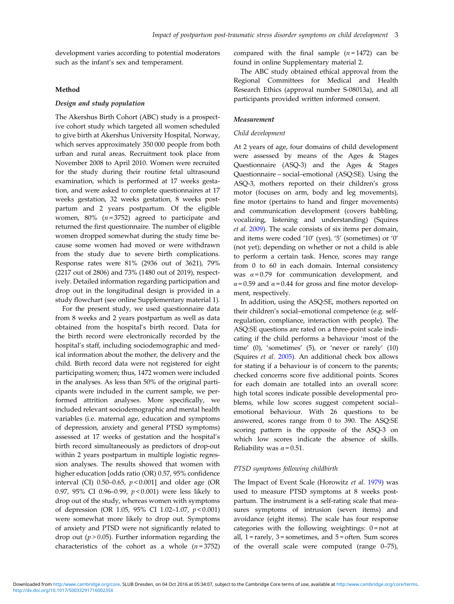development varies according to potential moderators such as the infant's sex and temperament.

## Method

# Design and study population

The Akershus Birth Cohort (ABC) study is a prospective cohort study which targeted all women scheduled to give birth at Akershus University Hospital, Norway, which serves approximately 350 000 people from both urban and rural areas. Recruitment took place from November 2008 to April 2010. Women were recruited for the study during their routine fetal ultrasound examination, which is performed at 17 weeks gestation, and were asked to complete questionnaires at 17 weeks gestation, 32 weeks gestation, 8 weeks postpartum and 2 years postpartum. Of the eligible women,  $80\%$  ( $n = 3752$ ) agreed to participate and returned the first questionnaire. The number of eligible women dropped somewhat during the study time because some women had moved or were withdrawn from the study due to severe birth complications. Response rates were 81% (2936 out of 3621), 79% (2217 out of 2806) and 73% (1480 out of 2019), respectively. Detailed information regarding participation and drop out in the longitudinal design is provided in a study flowchart (see online Supplementary material 1).

For the present study, we used questionnaire data from 8 weeks and 2 years postpartum as well as data obtained from the hospital's birth record. Data for the birth record were electronically recorded by the hospital's staff, including sociodemographic and medical information about the mother, the delivery and the child. Birth record data were not registered for eight participating women; thus, 1472 women were included in the analyses. As less than 50% of the original participants were included in the current sample, we performed attrition analyses. More specifically, we included relevant sociodemographic and mental health variables (i.e. maternal age, education and symptoms of depression, anxiety and general PTSD symptoms) assessed at 17 weeks of gestation and the hospital's birth record simultaneously as predictors of drop-out within 2 years postpartum in multiple logistic regression analyses. The results showed that women with higher education [odds ratio (OR) 0.57, 95% confidence interval (CI) 0.50–0.65,  $p < 0.001$ ] and older age (OR 0.97, 95% CI 0.96-0.99,  $p < 0.001$ ) were less likely to drop out of the study, whereas women with symptoms of depression (OR 1.05, 95% CI 1.02–1.07, p < 0.001) were somewhat more likely to drop out. Symptoms of anxiety and PTSD were not significantly related to drop out ( $p > 0.05$ ). Further information regarding the characteristics of the cohort as a whole  $(n=3752)$  compared with the final sample  $(n=1472)$  can be found in online Supplementary material 2.

The ABC study obtained ethical approval from the Regional Committees for Medical and Health Research Ethics (approval number S-08013a), and all participants provided written informed consent.

# Measurement

# Child development

At 2 years of age, four domains of child development were assessed by means of the Ages & Stages Questionnaire (ASQ-3) and the Ages & Stages Questionnaire – social–emotional (ASQ:SE). Using the ASQ-3, mothers reported on their children's gross motor (focuses on arm, body and leg movements), fine motor (pertains to hand and finger movements) and communication development (covers babbling, vocalizing, listening and understanding) (Squires et al. [2009](#page-9-0)). The scale consists of six items per domain, and items were coded '10' (yes), '5' (sometimes) or '0' (not yet); depending on whether or not a child is able to perform a certain task. Hence, scores may range from 0 to 60 in each domain. Internal consistency was  $\alpha = 0.79$  for communication development, and  $\alpha$  = 0.59 and  $\alpha$  = 0.44 for gross and fine motor development, respectively.

In addition, using the ASQ:SE, mothers reported on their children's social–emotional competence (e.g. selfregulation, compliance, interaction with people). The ASQ:SE questions are rated on a three-point scale indicating if the child performs a behaviour 'most of the time' (0), 'sometimes' (5), or 'never or rarely' (10) (Squires et al. [2005](#page-9-0)). An additional check box allows for stating if a behaviour is of concern to the parents; checked concerns score five additional points. Scores for each domain are totalled into an overall score: high total scores indicate possible developmental problems, while low scores suggest competent social– emotional behaviour. With 26 questions to be answered, scores range from 0 to 390. The ASQ:SE scoring pattern is the opposite of the ASQ-3 on which low scores indicate the absence of skills. Reliability was  $\alpha = 0.51$ .

## PTSD symptoms following childbirth

The Impact of Event Scale (Horowitz et al. [1979\)](#page-9-0) was used to measure PTSD symptoms at 8 weeks postpartum. The instrument is a self-rating scale that measures symptoms of intrusion (seven items) and avoidance (eight items). The scale has four response categories with the following weightings:  $0 = not$  at all,  $1 = \text{rarely}, 3 = \text{sometimes}, \text{ and } 5 = \text{often}.$  Sum scores of the overall scale were computed (range 0–75),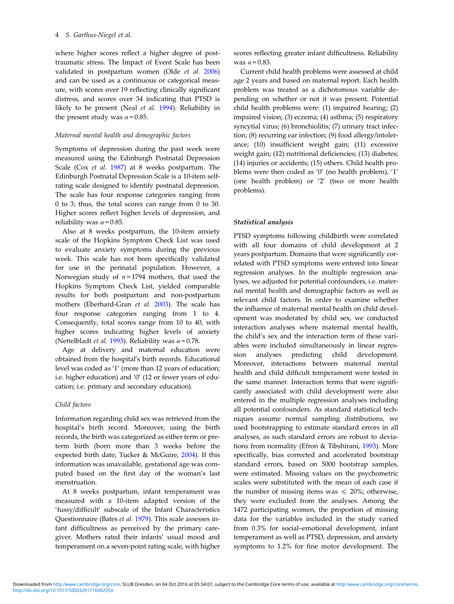where higher scores reflect a higher degree of posttraumatic stress. The Impact of Event Scale has been validated in postpartum women (Olde et al. [2006\)](#page-9-0) and can be used as a continuous or categorical measure, with scores over 19 reflecting clinically significant distress, and scores over 34 indicating that PTSD is likely to be present (Neal et al. [1994\)](#page-9-0). Reliability in the present study was  $\alpha$  = 0.85.

# Maternal mental health and demographic factors

Symptoms of depression during the past week were measured using the Edinburgh Postnatal Depression Scale (Cox et al. [1987\)](#page-8-0) at 8 weeks postpartum. The Edinburgh Postnatal Depression Scale is a 10-item selfrating scale designed to identify postnatal depression. The scale has four response categories ranging from 0 to 3; thus, the total scores can range from 0 to 30. Higher scores reflect higher levels of depression, and reliability was  $\alpha = 0.85$ .

Also at 8 weeks postpartum, the 10-item anxiety scale of the Hopkins Symptom Check List was used to evaluate anxiety symptoms during the previous week. This scale has not been specifically validated for use in the perinatal population. However, a Norwegian study of  $n = 1794$  mothers, that used the Hopkins Symptom Check List, yielded comparable results for both postpartum and non-postpartum mothers (Eberhard-Gran et al. [2003\)](#page-8-0). The scale has four response categories ranging from 1 to 4. Consequently, total scores range from 10 to 40, with higher scores indicating higher levels of anxiety (Nettelbladt et al. [1993](#page-9-0)). Reliability was  $\alpha$  = 0.78.

Age at delivery and maternal education were obtained from the hospital's birth records. Educational level was coded as '1' (more than 12 years of education; i.e. higher education) and '0' (12 or fewer years of education; i.e. primary and secondary education).

## Child factors

Information regarding child sex was retrieved from the hospital's birth record. Moreover, using the birth records, the birth was categorized as either term or preterm birth (born more than 3 weeks before the expected birth date; Tucker & McGuire, [2004](#page-9-0)). If this information was unavailable, gestational age was computed based on the first day of the woman's last menstruation.

At 8 weeks postpartum, infant temperament was measured with a 10-item adapted version of the 'fussy/difficult' subscale of the Infant Characteristics Questionnaire (Bates et al. [1979](#page-8-0)). This scale assesses infant difficultness as perceived by the primary caregiver. Mothers rated their infants' usual mood and temperament on a seven-point rating scale, with higher scores reflecting greater infant difficultness. Reliability was  $\alpha = 0.83$ .

Current child health problems were assessed at child age 2 years and based on maternal report. Each health problem was treated as a dichotomous variable depending on whether or not it was present. Potential child health problems were: (1) impaired hearing; (2) impaired vision; (3) eczema; (4) asthma; (5) respiratory syncytial virus; (6) bronchiolitis; (7) urinary tract infection; (8) recurring ear infection; (9) food allergy/intolerance; (10) insufficient weight gain; (11) excessive weight gain; (12) nutritional deficiencies; (13) diabetes; (14) injuries or accidents; (15) others. Child health problems were then coded as '0' (no health problem), '1' (one health problem) or '2' (two or more health problems).

# Statistical analysis

PTSD symptoms following childbirth were correlated with all four domains of child development at 2 years postpartum. Domains that were significantly correlated with PTSD symptoms were entered into linear regression analyses. In the multiple regression analyses, we adjusted for potential confounders, i.e. maternal mental health and demographic factors as well as relevant child factors. In order to examine whether the influence of maternal mental health on child development was moderated by child sex, we conducted interaction analyses where maternal mental health, the child's sex and the interaction term of these variables were included simultaneously in linear regression analyses predicting child development. Moreover, interactions between maternal mental health and child difficult temperament were tested in the same manner. Interaction terms that were significantly associated with child development were also entered in the multiple regression analyses including all potential confounders. As standard statistical techniques assume normal sampling distributions, we used bootstrapping to estimate standard errors in all analyses, as such standard errors are robust to deviations from normality (Efron & Tibshirani, [1993\)](#page-8-0). More specifically, bias corrected and accelerated bootstrap standard errors, based on 5000 bootstrap samples, were estimated. Missing values on the psychometric scales were substituted with the mean of each case if the number of missing items was  $\leq 20\%$ ; otherwise, they were excluded from the analyses. Among the 1472 participating women, the proportion of missing data for the variables included in the study varied from 0.3% for social–emotional development, infant temperament as well as PTSD, depression, and anxiety symptoms to 1.2% for fine motor development. The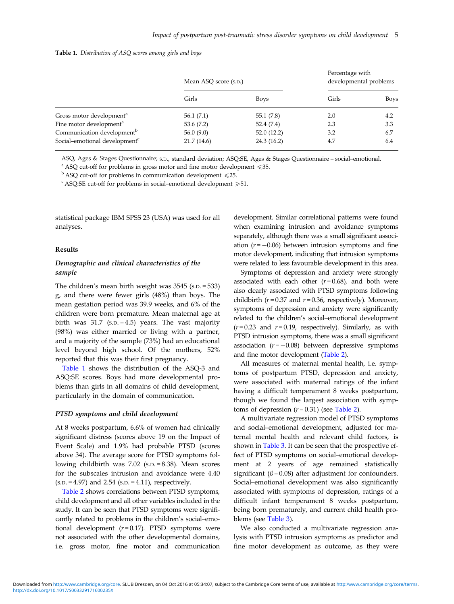|  | <b>Table 1.</b> Distribution of ASQ scores among girls and boys |  |  |  |  |  |  |
|--|-----------------------------------------------------------------|--|--|--|--|--|--|
|--|-----------------------------------------------------------------|--|--|--|--|--|--|

|                                           | Mean ASQ score (s.p.) | Percentage with<br>developmental problems |       |             |
|-------------------------------------------|-----------------------|-------------------------------------------|-------|-------------|
|                                           | Girls                 | <b>Boys</b>                               | Girls | <b>Boys</b> |
| Gross motor development <sup>a</sup>      | 56.1(7.1)             | 55.1(7.8)                                 | 2.0   | 4.2         |
| Fine motor development <sup>a</sup>       | 53.6(7.2)             | 52.4(7.4)                                 | 2.3   | 3.3         |
| Communication development <sup>b</sup>    | 56.0(9.0)             | 52.0(12.2)                                | 3.2   | 6.7         |
| Social-emotional development <sup>c</sup> | 21.7(14.6)            | 24.3(16.2)                                | 4.7   | 6.4         |

ASQ, Ages & Stages Questionnaire; S.D., standard deviation; ASQ:SE, Ages & Stages Questionnaire – social–emotional.

<sup>a</sup> ASQ cut-off for problems in gross motor and fine motor development  $\leq 35$ .

 $<sup>b</sup>$  ASQ cut-off for problems in communication development  $\leq 25$ .</sup>

 $c$  ASQ:SE cut-off for problems in social–emotional development  $\geq 51$ .

statistical package IBM SPSS 23 (USA) was used for all analyses.

#### Results

# Demographic and clinical characteristics of the sample

The children's mean birth weight was 3545 (S.D. = 533) g, and there were fewer girls (48%) than boys. The mean gestation period was 39.9 weeks, and 6% of the children were born premature. Mean maternal age at birth was  $31.7$  (s.p. = 4.5) years. The vast majority (98%) was either married or living with a partner, and a majority of the sample (73%) had an educational level beyond high school. Of the mothers, 52% reported that this was their first pregnancy.

Table 1 shows the distribution of the ASQ-3 and ASQ:SE scores. Boys had more developmental problems than girls in all domains of child development, particularly in the domain of communication.

## PTSD symptoms and child development

At 8 weeks postpartum, 6.6% of women had clinically significant distress (scores above 19 on the Impact of Event Scale) and 1.9% had probable PTSD (scores above 34). The average score for PTSD symptoms following childbirth was 7.02 (S.D. = 8.38). Mean scores for the subscales intrusion and avoidance were 4.40  $(S.D. = 4.97)$  and  $2.54$   $(S.D. = 4.11)$ , respectively.

[Table 2](#page-5-0) shows correlations between PTSD symptoms, child development and all other variables included in the study. It can be seen that PTSD symptoms were significantly related to problems in the children's social–emotional development  $(r=0.17)$ . PTSD symptoms were not associated with the other developmental domains, i.e. gross motor, fine motor and communication development. Similar correlational patterns were found when examining intrusion and avoidance symptoms separately, although there was a small significant association  $(r = -0.06)$  between intrusion symptoms and fine motor development, indicating that intrusion symptoms were related to less favourable development in this area.

Symptoms of depression and anxiety were strongly associated with each other  $(r=0.68)$ , and both were also clearly associated with PTSD symptoms following childbirth ( $r = 0.37$  and  $r = 0.36$ , respectively). Moreover, symptoms of depression and anxiety were significantly related to the children's social–emotional development  $(r=0.23$  and  $r=0.19$ , respectively). Similarly, as with PTSD intrusion symptoms, there was a small significant association  $(r = -0.08)$  between depressive symptoms and fine motor development [\(Table 2](#page-5-0)).

All measures of maternal mental health, i.e. symptoms of postpartum PTSD, depression and anxiety, were associated with maternal ratings of the infant having a difficult temperament 8 weeks postpartum, though we found the largest association with symptoms of depression  $(r = 0.31)$  (see [Table 2\)](#page-5-0).

A multivariate regression model of PTSD symptoms and social–emotional development, adjusted for maternal mental health and relevant child factors, is shown in [Table 3](#page-6-0). It can be seen that the prospective effect of PTSD symptoms on social–emotional development at 2 years of age remained statistically significant ( $\beta$ =0.08) after adjustment for confounders. Social–emotional development was also significantly associated with symptoms of depression, ratings of a difficult infant temperament 8 weeks postpartum, being born prematurely, and current child health problems (see [Table 3](#page-6-0)).

We also conducted a multivariate regression analysis with PTSD intrusion symptoms as predictor and fine motor development as outcome, as they were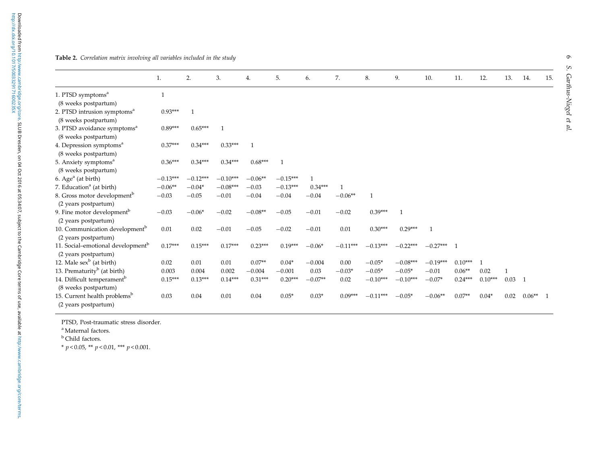<span id="page-5-0"></span>**Table 2.** Correlation matrix involving all variables included in the study

|                                                                                               | 1.         | 2.           | 3.           | 4.        | 5.         | 6.           | 7.           | 8.         | 9.             | 10.          | 11.       | 12.       | 13.          | 14.        | 15. |
|-----------------------------------------------------------------------------------------------|------------|--------------|--------------|-----------|------------|--------------|--------------|------------|----------------|--------------|-----------|-----------|--------------|------------|-----|
| 1. PTSD symptoms <sup>a</sup><br>(8 weeks postpartum)                                         |            |              |              |           |            |              |              |            |                |              |           |           |              |            |     |
| 2. PTSD intrusion symptoms <sup>a</sup><br>(8 weeks postpartum)                               | $0.93***$  | $\mathbf{1}$ |              |           |            |              |              |            |                |              |           |           |              |            |     |
| 3. PTSD avoidance symptoms <sup>a</sup><br>(8 weeks postpartum)                               | $0.89***$  | $0.65***$    | $\mathbf{1}$ |           |            |              |              |            |                |              |           |           |              |            |     |
| 4. Depression symptoms <sup>a</sup><br>(8 weeks postpartum)                                   | $0.37***$  | $0.34***$    | $0.33***$    |           |            |              |              |            |                |              |           |           |              |            |     |
| 5. Anxiety symptoms <sup>a</sup><br>(8 weeks postpartum)                                      | $0.36***$  | $0.34***$    | $0.34***$    | $0.68***$ |            |              |              |            |                |              |           |           |              |            |     |
| 6. Age <sup>a</sup> (at birth)                                                                | $-0.13***$ | $-0.12***$   | $-0.10***$   | $-0.06**$ | $-0.15***$ | $\mathbf{1}$ |              |            |                |              |           |           |              |            |     |
| 7. Education <sup>a</sup> (at birth)                                                          | $-0.06**$  | $-0.04*$     | $-0.08***$   | $-0.03$   | $-0.13***$ | $0.34***$    | $\mathbf{1}$ |            |                |              |           |           |              |            |     |
| 8. Gross motor development <sup>b</sup><br>(2 years postpartum)                               | $-0.03$    | $-0.05$      | $-0.01$      | $-0.04$   | $-0.04$    | $-0.04$      | $-0.06**$    | 1          |                |              |           |           |              |            |     |
| 9. Fine motor development <sup>b</sup>                                                        | $-0.03$    | $-0.06*$     | $-0.02$      | $-0.08**$ | $-0.05$    | $-0.01$      | $-0.02$      | $0.39***$  | $\overline{1}$ |              |           |           |              |            |     |
| (2 years postpartum)<br>10. Communication development <sup>b</sup>                            | 0.01       | 0.02         | $-0.01$      | $-0.05$   | $-0.02$    | $-0.01$      | 0.01         | $0.30***$  | $0.29***$      | $\mathbf{1}$ |           |           |              |            |     |
| (2 years postpartum)<br>11. Social–emotional development <sup>b</sup><br>(2 years postpartum) | $0.17***$  | $0.15***$    | $0.17***$    | $0.23***$ | $0.19***$  | $-0.06*$     | $-0.11***$   | $-0.13***$ | $-0.22***$     | $-0.27***$ 1 |           |           |              |            |     |
| 12. Male sex <sup>b</sup> (at birth)                                                          | 0.02       | 0.01         | 0.01         | $0.07**$  | $0.04*$    | $-0.004$     | 0.00         | $-0.05*$   | $-0.08***$     | $-0.19***$   | $0.10***$ |           |              |            |     |
| 13. Prematurity <sup>b</sup> (at birth)                                                       | 0.003      | 0.004        | 0.002        | $-0.004$  | $-0.001$   | 0.03         | $-0.03*$     | $-0.05*$   | $-0.05*$       | $-0.01$      | $0.06**$  | 0.02      | $\mathbf{1}$ |            |     |
| 14. Difficult temperament <sup>b</sup>                                                        | $0.15***$  | $0.13***$    | $0.14***$    | $0.31***$ | $0.20***$  | $-0.07**$    | 0.02         | $-0.10***$ | $-0.10***$     | $-0.07*$     | $0.24***$ | $0.10***$ | $0.03$ 1     |            |     |
| (8 weeks postpartum)<br>15. Current health problems <sup>b</sup><br>(2 years postpartum)      | 0.03       | 0.04         | 0.01         | 0.04      | $0.05*$    | $0.03*$      | $0.09***$    | $-0.11***$ | $-0.05*$       | $-0.06**$    | $0.07**$  | $0.04*$   | 0.02         | $0.06**$ 1 |     |

PTSD, Post-traumatic stress disorder.

<sup>a</sup> Maternal factors.

<sup>b</sup> Child factors.

\*  $p < 0.05$ , \*\*  $p < 0.01$ , \*\*\*  $p < 0.001$ .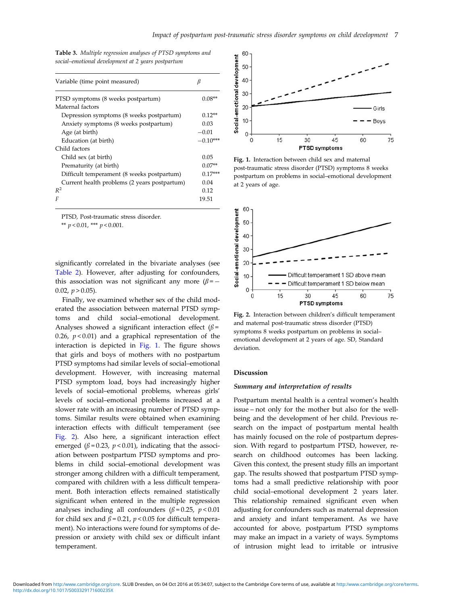| Variable (time point measured)               |            |  |  |
|----------------------------------------------|------------|--|--|
| PTSD symptoms (8 weeks postpartum)           | $0.08**$   |  |  |
| Maternal factors                             |            |  |  |
| Depression symptoms (8 weeks postpartum)     | $0.12**$   |  |  |
| Anxiety symptoms (8 weeks postpartum)        | 0.03       |  |  |
| Age (at birth)                               | $-0.01$    |  |  |
| Education (at birth)                         | $-0.10***$ |  |  |
| Child factors                                |            |  |  |
| Child sex (at birth)                         | 0.05       |  |  |
| Prematurity (at birth)                       | $0.07**$   |  |  |
| Difficult temperament (8 weeks postpartum)   | $0.17***$  |  |  |
| Current health problems (2 years postpartum) | 0.04       |  |  |
| $R^2$                                        | 0.12       |  |  |
| F                                            | 19.51      |  |  |

<span id="page-6-0"></span>Table 3. Multiple regression analyses of PTSD symptoms and social–emotional development at 2 years postpartum

PTSD, Post-traumatic stress disorder.

\*\*  $p < 0.01$ , \*\*\*  $p < 0.001$ .

significantly correlated in the bivariate analyses (see [Table 2\)](#page-5-0). However, after adjusting for confounders, this association was not significant any more  $(\beta = -1)$ 0.02,  $p > 0.05$ ).

Finally, we examined whether sex of the child moderated the association between maternal PTSD symptoms and child social–emotional development. Analyses showed a significant interaction effect  $(\beta =$ 0.26,  $p < 0.01$ ) and a graphical representation of the interaction is depicted in Fig. 1. The figure shows that girls and boys of mothers with no postpartum PTSD symptoms had similar levels of social–emotional development. However, with increasing maternal PTSD symptom load, boys had increasingly higher levels of social–emotional problems, whereas girls' levels of social–emotional problems increased at a slower rate with an increasing number of PTSD symptoms. Similar results were obtained when examining interaction effects with difficult temperament (see Fig. 2). Also here, a significant interaction effect emerged ( $\beta$ =0.23,  $p$  <0.01), indicating that the association between postpartum PTSD symptoms and problems in child social–emotional development was stronger among children with a difficult temperament, compared with children with a less difficult temperament. Both interaction effects remained statistically significant when entered in the multiple regression analyses including all confounders ( $\beta$  = 0.25,  $p$  < 0.01 for child sex and  $\beta$  = 0.21,  $p$  < 0.05 for difficult temperament). No interactions were found for symptoms of depression or anxiety with child sex or difficult infant temperament.



Fig. 1. Interaction between child sex and maternal post-traumatic stress disorder (PTSD) symptoms 8 weeks postpartum on problems in social–emotional development at 2 years of age.



Fig. 2. Interaction between children's difficult temperament and maternal post-traumatic stress disorder (PTSD) symptoms 8 weeks postpartum on problems in social– emotional development at 2 years of age. SD, Standard deviation.

## Discussion

## Summary and interpretation of results

Postpartum mental health is a central women's health issue – not only for the mother but also for the wellbeing and the development of her child. Previous research on the impact of postpartum mental health has mainly focused on the role of postpartum depression. With regard to postpartum PTSD, however, research on childhood outcomes has been lacking. Given this context, the present study fills an important gap. The results showed that postpartum PTSD symptoms had a small predictive relationship with poor child social–emotional development 2 years later. This relationship remained significant even when adjusting for confounders such as maternal depression and anxiety and infant temperament. As we have accounted for above, postpartum PTSD symptoms may make an impact in a variety of ways. Symptoms of intrusion might lead to irritable or intrusive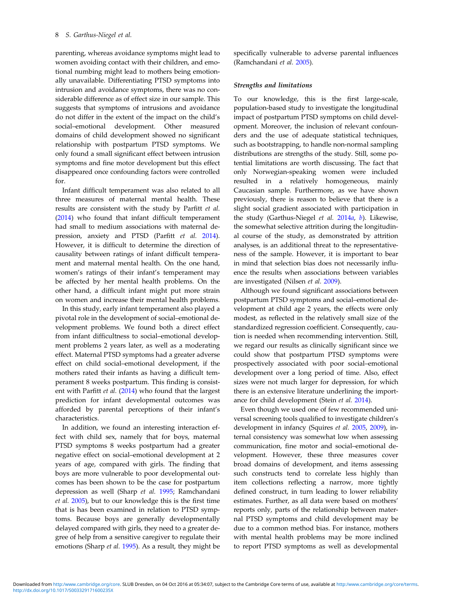parenting, whereas avoidance symptoms might lead to women avoiding contact with their children, and emotional numbing might lead to mothers being emotionally unavailable. Differentiating PTSD symptoms into intrusion and avoidance symptoms, there was no considerable difference as of effect size in our sample. This suggests that symptoms of intrusions and avoidance do not differ in the extent of the impact on the child's social–emotional development. Other measured domains of child development showed no significant relationship with postpartum PTSD symptoms. We only found a small significant effect between intrusion symptoms and fine motor development but this effect disappeared once confounding factors were controlled for.

Infant difficult temperament was also related to all three measures of maternal mental health. These results are consistent with the study by Parfitt et al. ([2014\)](#page-9-0) who found that infant difficult temperament had small to medium associations with maternal depression, anxiety and PTSD (Parfitt et al. [2014](#page-9-0)). However, it is difficult to determine the direction of causality between ratings of infant difficult temperament and maternal mental health. On the one hand, women's ratings of their infant's temperament may be affected by her mental health problems. On the other hand, a difficult infant might put more strain on women and increase their mental health problems.

In this study, early infant temperament also played a pivotal role in the development of social–emotional development problems. We found both a direct effect from infant difficultness to social–emotional development problems 2 years later, as well as a moderating effect. Maternal PTSD symptoms had a greater adverse effect on child social–emotional development, if the mothers rated their infants as having a difficult temperament 8 weeks postpartum. This finding is consistent with Parfitt et al. ([2014\)](#page-9-0) who found that the largest prediction for infant developmental outcomes was afforded by parental perceptions of their infant's characteristics.

In addition, we found an interesting interaction effect with child sex, namely that for boys, maternal PTSD symptoms 8 weeks postpartum had a greater negative effect on social–emotional development at 2 years of age, compared with girls. The finding that boys are more vulnerable to poor developmental outcomes has been shown to be the case for postpartum depression as well (Sharp et al. [1995](#page-9-0); Ramchandani et al. [2005\)](#page-9-0), but to our knowledge this is the first time that is has been examined in relation to PTSD symptoms. Because boys are generally developmentally delayed compared with girls, they need to a greater degree of help from a sensitive caregiver to regulate their emotions (Sharp et al. [1995](#page-9-0)). As a result, they might be specifically vulnerable to adverse parental influences (Ramchandani et al. [2005](#page-9-0)).

## Strengths and limitations

To our knowledge, this is the first large-scale, population-based study to investigate the longitudinal impact of postpartum PTSD symptoms on child development. Moreover, the inclusion of relevant confounders and the use of adequate statistical techniques, such as bootstrapping, to handle non-normal sampling distributions are strengths of the study. Still, some potential limitations are worth discussing. The fact that only Norwegian-speaking women were included resulted in a relatively homogeneous, mainly Caucasian sample. Furthermore, as we have shown previously, there is reason to believe that there is a slight social gradient associated with participation in the study (Garthus-Niegel et al. [2014](#page-8-0)a, [b](#page-8-0)). Likewise, the somewhat selective attrition during the longitudinal course of the study, as demonstrated by attrition analyses, is an additional threat to the representativeness of the sample. However, it is important to bear in mind that selection bias does not necessarily influence the results when associations between variables are investigated (Nilsen et al. [2009](#page-9-0)).

Although we found significant associations between postpartum PTSD symptoms and social–emotional development at child age 2 years, the effects were only modest, as reflected in the relatively small size of the standardized regression coefficient. Consequently, caution is needed when recommending intervention. Still, we regard our results as clinically significant since we could show that postpartum PTSD symptoms were prospectively associated with poor social–emotional development over a long period of time. Also, effect sizes were not much larger for depression, for which there is an extensive literature underlining the importance for child development (Stein et al. [2014](#page-9-0)).

Even though we used one of few recommended universal screening tools qualified to investigate children's development in infancy (Squires et al. [2005,](#page-9-0) [2009\)](#page-9-0), internal consistency was somewhat low when assessing communication, fine motor and social–emotional development. However, these three measures cover broad domains of development, and items assessing such constructs tend to correlate less highly than item collections reflecting a narrow, more tightly defined construct, in turn leading to lower reliability estimates. Further, as all data were based on mothers' reports only, parts of the relationship between maternal PTSD symptoms and child development may be due to a common method bias. For instance, mothers with mental health problems may be more inclined to report PTSD symptoms as well as developmental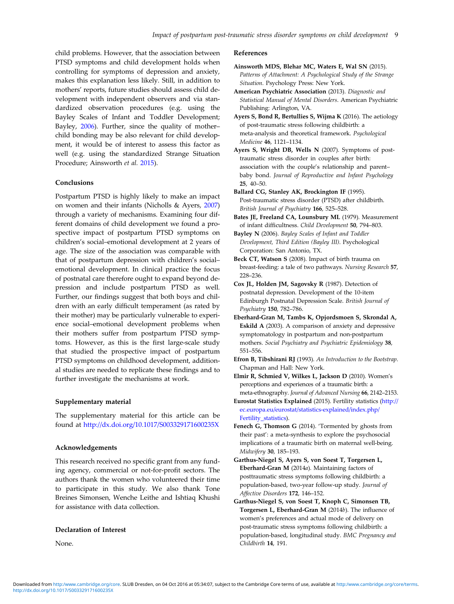<span id="page-8-0"></span>child problems. However, that the association between PTSD symptoms and child development holds when controlling for symptoms of depression and anxiety, makes this explanation less likely. Still, in addition to mothers' reports, future studies should assess child development with independent observers and via standardized observation procedures (e.g. using the Bayley Scales of Infant and Toddler Development; Bayley, 2006). Further, since the quality of mother– child bonding may be also relevant for child development, it would be of interest to assess this factor as well (e.g. using the standardized Strange Situation Procedure; Ainsworth et al. 2015).

### **Conclusions**

Postpartum PTSD is highly likely to make an impact on women and their infants (Nicholls & Ayers, [2007\)](#page-9-0) through a variety of mechanisms. Examining four different domains of child development we found a prospective impact of postpartum PTSD symptoms on children's social–emotional development at 2 years of age. The size of the association was comparable with that of postpartum depression with children's social– emotional development. In clinical practice the focus of postnatal care therefore ought to expand beyond depression and include postpartum PTSD as well. Further, our findings suggest that both boys and children with an early difficult temperament (as rated by their mother) may be particularly vulnerable to experience social–emotional development problems when their mothers suffer from postpartum PTSD symptoms. However, as this is the first large-scale study that studied the prospective impact of postpartum PTSD symptoms on childhood development, additional studies are needed to replicate these findings and to further investigate the mechanisms at work.

#### Supplementary material

The supplementary material for this article can be found at <http://dx.doi.org/10.1017/S003329171600235X>

## Acknowledgements

This research received no specific grant from any funding agency, commercial or not-for-profit sectors. The authors thank the women who volunteered their time to participate in this study. We also thank Tone Breines Simonsen, Wenche Leithe and Ishtiaq Khushi for assistance with data collection.

## Declaration of Interest

None.

## References

- Ainsworth MDS, Blehar MC, Waters E, Wal SN (2015). Patterns of Attachment: A Psychological Study of the Strange Situation. Psychology Press: New York.
- American Psychiatric Association (2013). Diagnostic and Statistical Manual of Mental Disorders. American Psychiatric Publishing: Arlington, VA.
- Ayers S, Bond R, Bertullies S, Wijma K (2016). The aetiology of post-traumatic stress following childbirth: a meta-analysis and theoretical framework. Psychological Medicine 46, 1121–1134.
- Ayers S, Wright DB, Wells N (2007). Symptoms of posttraumatic stress disorder in couples after birth: association with the couple's relationship and parent– baby bond. Journal of Reproductive and Infant Psychology 25, 40–50.
- Ballard CG, Stanley AK, Brockington IF (1995). Post-traumatic stress disorder (PTSD) after childbirth. British Journal of Psychiatry 166, 525–528.
- Bates JE, Freeland CA, Lounsbury ML (1979). Measurement of infant difficultness. Child Development 50, 794–803.
- Bayley N (2006). Bayley Scales of Infant and Toddler Development, Third Edition (Bayley III). Psychological Corporation: San Antonio, TX.
- Beck CT, Watson S (2008). Impact of birth trauma on breast-feeding: a tale of two pathways. Nursing Research 57, 228–236.
- Cox JL, Holden JM, Sagovsky R (1987). Detection of postnatal depression. Development of the 10-item Edinburgh Postnatal Depression Scale. British Journal of Psychiatry 150, 782–786.
- Eberhard-Gran M, Tambs K, Opjordsmoen S, Skrondal A, Eskild A (2003). A comparison of anxiety and depressive symptomatology in postpartum and non-postpartum mothers. Social Psychiatry and Psychiatric Epidemiology 38, 551–556.
- Efron B, Tibshirani RJ (1993). An Introduction to the Bootstrap. Chapman and Hall: New York.

Elmir R, Schmied V, Wilkes L, Jackson D (2010). Women's perceptions and experiences of a traumatic birth: a meta-ethnography. Journal of Advanced Nursing 66, 2142–2153.

- Eurostat Statistics Explained (2015). Fertility statistics [\(http://](http://ec.europa.eu/eurostat/statistics-explained/index.php/Fertility_statistics) [ec.europa.eu/eurostat/statistics-explained/index.php/](http://ec.europa.eu/eurostat/statistics-explained/index.php/Fertility_statistics) [Fertility\\_statistics](http://ec.europa.eu/eurostat/statistics-explained/index.php/Fertility_statistics)).
- Fenech G, Thomson G (2014). 'Tormented by ghosts from their past': a meta-synthesis to explore the psychosocial implications of a traumatic birth on maternal well-being. Midwifery 30, 185–193.
- Garthus-Niegel S, Ayers S, von Soest T, Torgersen L, Eberhard-Gran M (2014a). Maintaining factors of posttraumatic stress symptoms following childbirth: a population-based, two-year follow-up study. Journal of Affective Disorders 172, 146–152.
- Garthus-Niegel S, von Soest T, Knoph C, Simonsen TB, Torgersen L, Eberhard-Gran M (2014b). The influence of women's preferences and actual mode of delivery on post-traumatic stress symptoms following childbirth: a population-based, longitudinal study. BMC Pregnancy and Childbirth 14, 191.